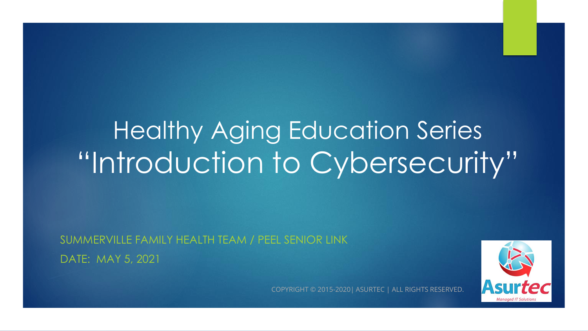# Healthy Aging Education Series "Introduction to Cybersecurity"

SUMMERVILLE FAMILY HEALTH TEAM / PEEL SENIOR LINK DATE: MAY 5, 2021



COPYRIGHT © 2015-2020| ASURTEC | ALL RIGHTS RESERVED.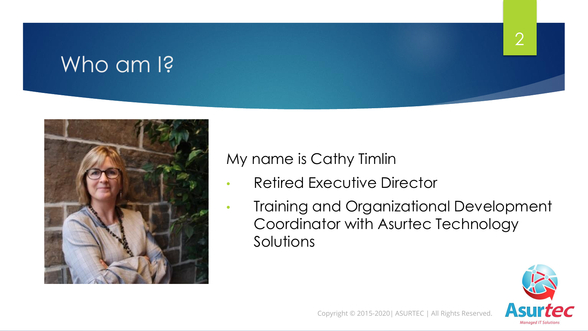### Who am I?



### My name is Cathy Timlin

- Retired Executive Director
- Training and Organizational Development Coordinator with Asurtec Technology Solutions

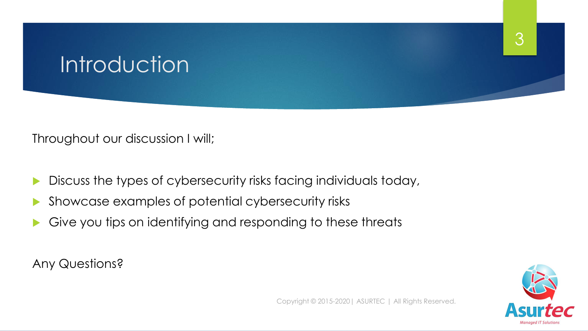## **Introduction**

Throughout our discussion I will;

- Discuss the types of cybersecurity risks facing individuals today,
- Showcase examples of potential cybersecurity risks
- Give you tips on identifying and responding to these threats

Any Questions?

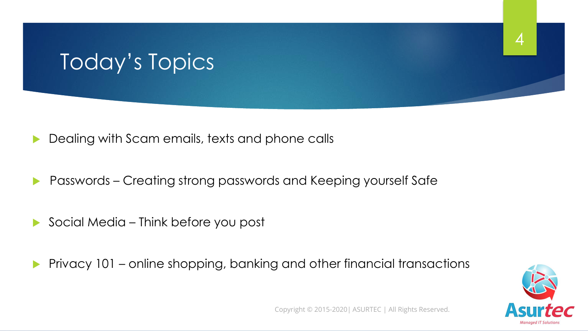### Today's Topics

- Dealing with Scam emails, texts and phone calls
- Passwords Creating strong passwords and Keeping yourself Safe
- Social Media Think before you post
- Privacy 101 online shopping, banking and other financial transactions



4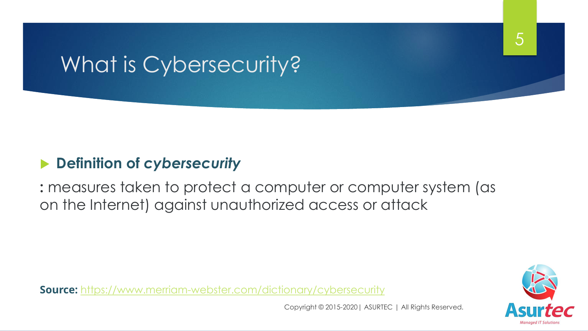### What is Cybersecurity?

### **Definition of** *cybersecurity*

**:** measures taken to protect a computer or computer system (as on the Internet) against unauthorized access or attack

**Source:** <https://www.merriam-webster.com/dictionary/cybersecurity>

Copyright © 2015-2020| ASURTEC | All Rights Reserved.

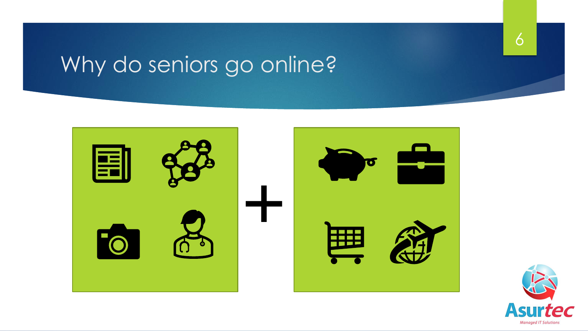## Why do seniors go online?



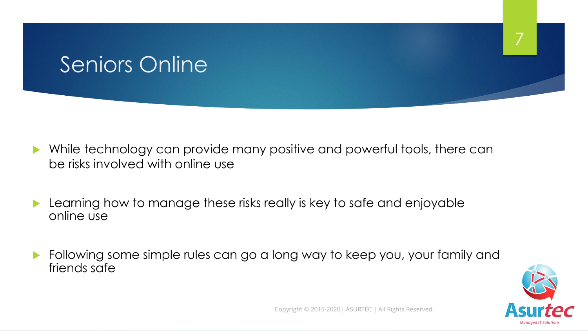### Seniors Online

- While technology can provide many positive and powerful tools, there can be risks involved with online use
- Learning how to manage these risks really is key to safe and enjoyable online use
- Following some simple rules can go a long way to keep you, your family and friends safe



7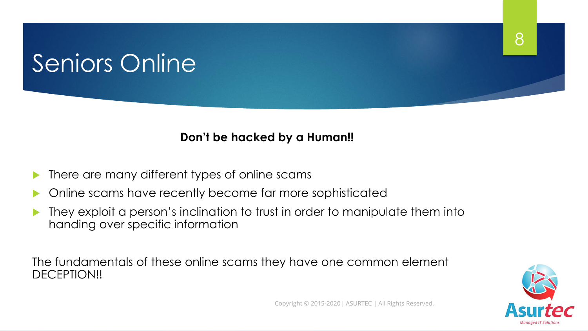## Seniors Online

#### **Don't be hacked by a Human!!**

- There are many different types of online scams
- |<br>|<br>| Online scams have recently become far more sophisticated
- They exploit a person's inclination to trust in order to manipulate them into handing over specific information

The fundamentals of these online scams they have one common element DECEPTION!!

8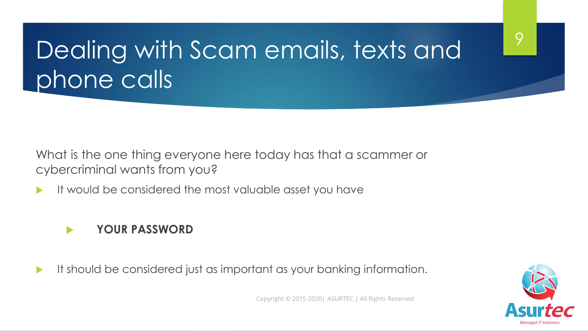What is the one thing everyone here today has that a scammer or cybercriminal wants from you?

It would be considered the most valuable asset you have

#### **YOUR PASSWORD**

It should be considered just as important as your banking information.



9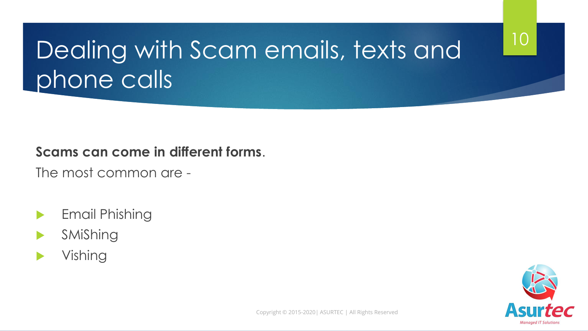### 10

## Dealing with Scam emails, texts and phone calls

#### **Scams can come in different forms**.

The most common are -

- Email Phishing
- SMiShing
- Vishing

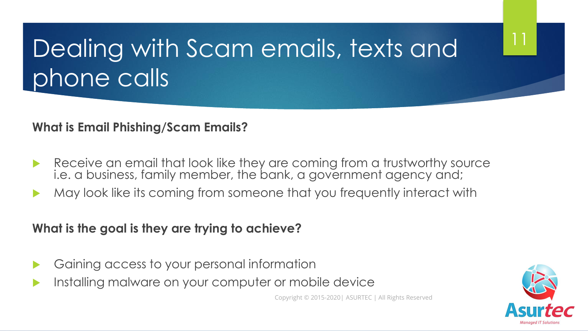**What is Email Phishing/Scam Emails?**

- Receive an email that look like they are coming from a trustworthy source i.e. a business, family member, the bank, a government agency and;
- **-**May look like its coming from someone that you frequently interact with

**What is the goal is they are trying to achieve?**

- Gaining access to your personal information
- Installing malware on your computer or mobile device

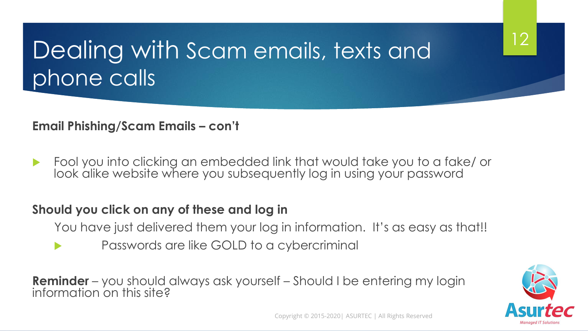**Email Phishing/Scam Emails – con't**

Fool you into clicking an embedded link that would take you to a fake/ or look alike website where you subsequently log in using your password

### -<br>-<br>2 **Should you click on any of these and log in**

- You have just delivered them your log in information. It's as easy as that!!
- Passwords are like GOLD to a cybercriminal

**Reminder** – you should always ask yourself – Should I be entering my login information on this site?



12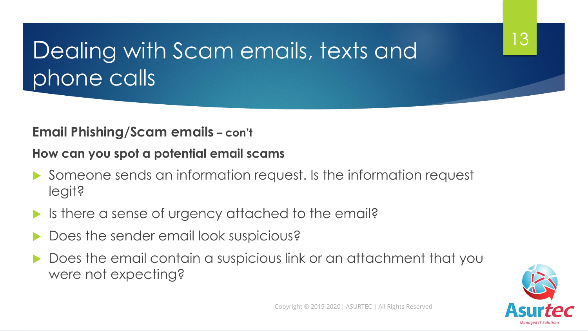### **Email Phishing/Scam emails – con't**

**How can you spot a potential email scams** 

- Someone sends an information request. Is the information request legit?
- Is there a sense of urgency attached to the email?
- Does the sender email look suspicious?
- Does the email contain a suspicious link or an attachment that you were not expecting?



13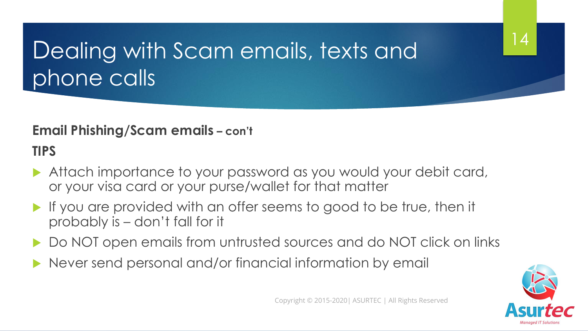### **Email Phishing/Scam emails – con't**

**TIPS**

- Attach importance to your password as you would your debit card, or your visa card or your purse/wallet for that matter
- If you are provided with an offer seems to good to be true, then it probably is – don't fall for it
- Do NOT open emails from untrusted sources and do NOT click on links
- Never send personal and/or financial information by email

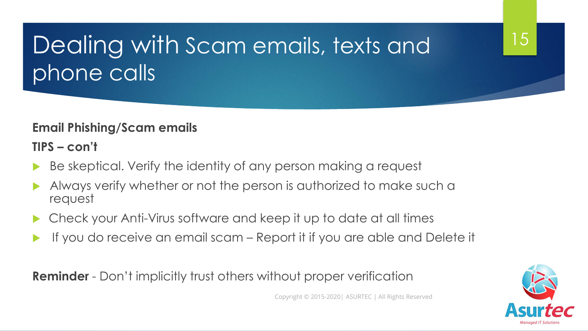#### **Email Phishing/Scam emails**

**TIPS – con't**

- Be skeptical. Verify the identity of any person making a request
- **-** Always verify whether or not the person is authorized to make such a request
- Check your Anti-Virus software and keep it up to date at all times
- If you do receive an email scam Report it if you are able and Delete it

**Reminder** - Don't implicitly trust others without proper verification

Copyright © 2015-2020| ASURTEC | All Rights Reserved

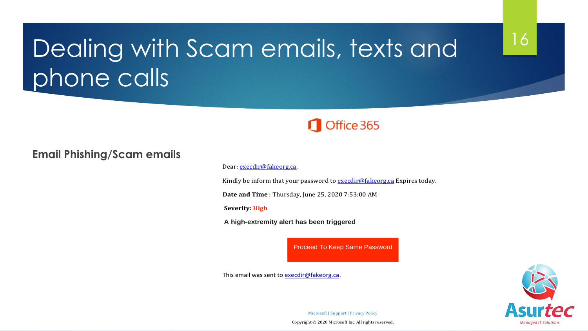### Office 365

#### **Email Phishing/Scam emails**

#### Dear execdir@fakeorg.ca,

Kindly be inform that your password to  $exectir@fakeorg.ca$  Expires today.

**Date and Time** : Thursday, June 25, 2020 7:53:00 AM

**Severity: High**

**A high-extremity alert has been triggered**

Proceed To Keep Same Password

This email was sent to execdir@fakeorg.ca.



16

Microsoft | Support | Privacy Policy

Copyright © 2020 Microsoft Inc. All rights reserved.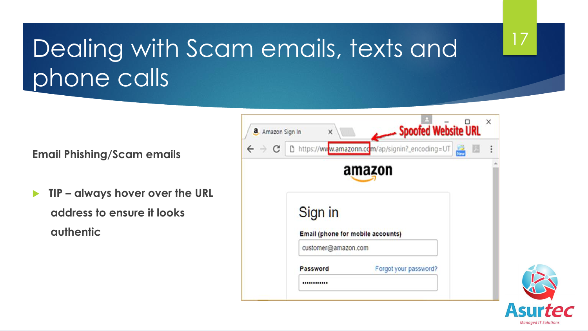**Email Phishing/Scam emails** 

- **TIP – always hover over the URL address to ensure it looks authentic**



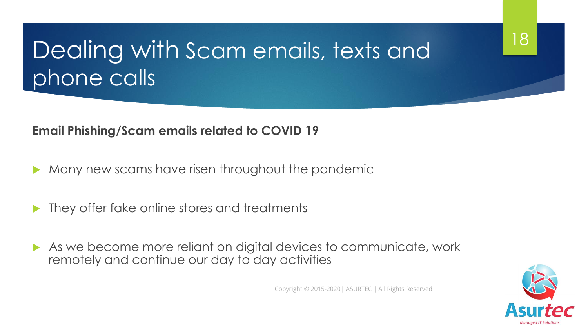#### **Email Phishing/Scam emails related to COVID 19**

- Many new scams have risen throughout the pandemic
- They offer fake online stores and treatments
- As we become more reliant on digital devices to communicate, work remotely and continue our day to day activities

Copyright © 2015-2020| ASURTEC | All Rights Reserved

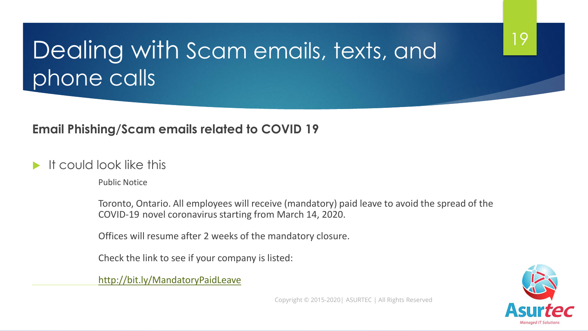#### **Email Phishing/Scam emails related to COVID 19**

#### It could look like this

Public Notice

Toronto, Ontario. All employees will receive (mandatory) paid leave to avoid the spread of the COVID-19 novel coronavirus starting from March 14, 2020.

Offices will resume after 2 weeks of the mandatory closure.

Check the link to see if your company is listed:

<http://bit.ly/MandatoryPaidLeave>



19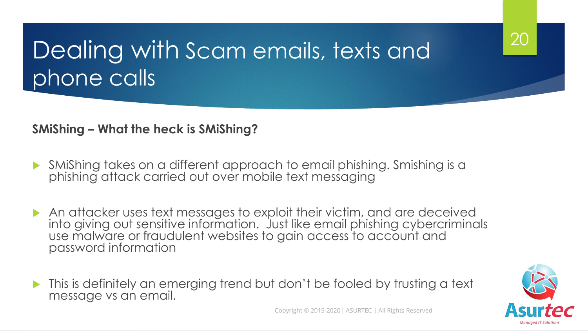#### **SMiShing – What the heck is SMiShing?**

- SMiShing takes on a different approach to email phishing. Smishing is a phishing attack carried out over mobile text messaging
- An attacker uses text messages to exploit their victim, and are deceived into giving out sensitive information. Just like email phishing cybercriminals use malware or fraudulent websites to gain access to account and password information
- This is definitely an emerging trend but don't be fooled by trusting a text message vs an email.



20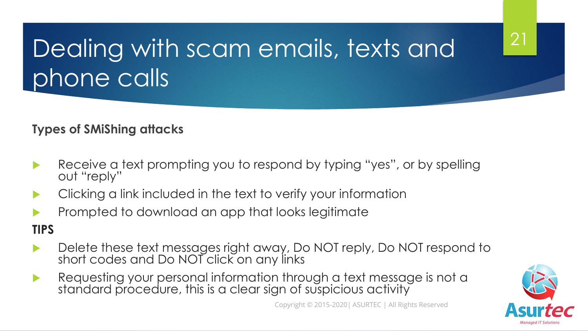### **Types of SMiShing attacks**

- Receive a text prompting you to respond by typing "yes", or by spelling out "reply"
- Clicking a link included in the text to verify your information
- **Prompted to download an app that looks legitimate**

### **TIPS**

- Delete these text messages right away, Do NOT reply, Do NOT respond to short codes and Do NOT click on any links
- Requesting your personal information through a text message is not a standard procedure, this is a clear sign of suspicious activity

Copyright © 2015-2020| ASURTEC | All Rights Reserved

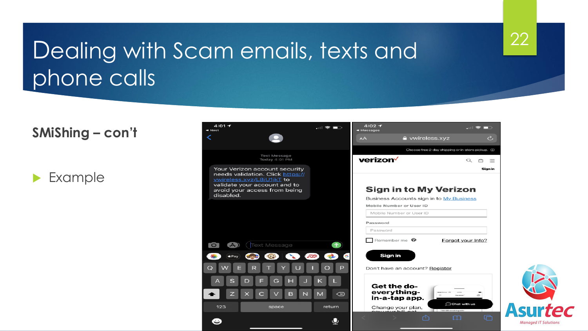### **SMiShing – con't**

Example



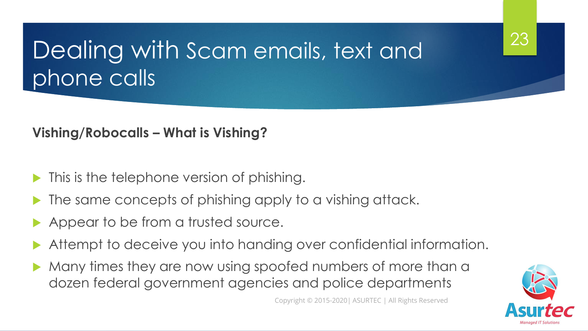### **Vishing/Robocalls – What is Vishing?**

- This is the telephone version of phishing.
- The same concepts of phishing apply to a vishing attack.
- Appear to be from a trusted source.
- Attempt to deceive you into handing over confidential information.
- Many times they are now using spoofed numbers of more than a dozen federal government agencies and police departments



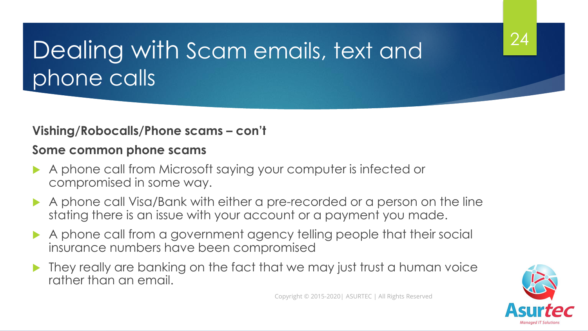#### **Vishing/Robocalls/Phone scams – con't**

#### **Some common phone scams**

- A phone call from Microsoft saying your computer is infected or compromised in some way.
- A phone call Visa/Bank with either a pre-recorded or a person on the line stating there is an issue with your account or a payment you made.
- A phone call from a government agency telling people that their social insurance numbers have been compromised
- They really are banking on the fact that we may just trust a human voice rather than an email.

Copyright © 2015-2020| ASURTEC | All Rights Reserved

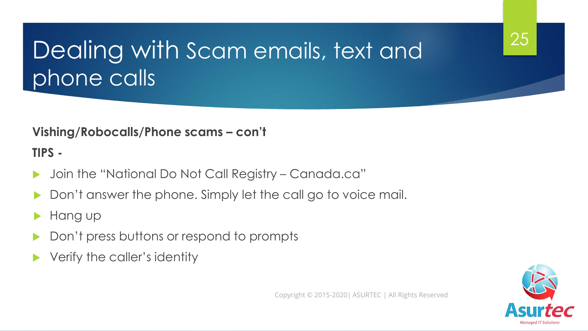#### **Vishing/Robocalls/Phone scams – con't**

**TIPS -**

- Join the "National Do Not Call Registry Canada.ca"
- Don't answer the phone. Simply let the call go to voice mail.
- Hang up
- Don't press buttons or respond to prompts
- Verify the caller's identity

Copyright © 2015-2020| ASURTEC | All Rights Reserved

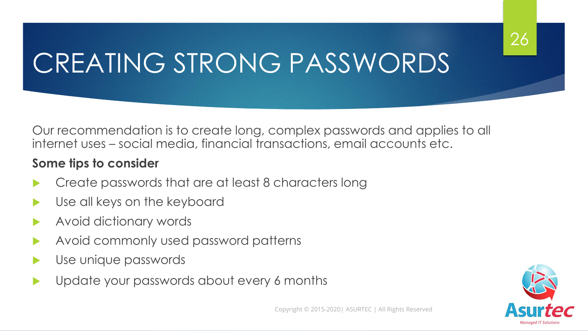# CREATING STRONG PASSWORDS

Our recommendation is to create long, complex passwords and applies to all internet uses – social media, financial transactions, email accounts etc.

#### **Some tips to consider**

- Create passwords that are at least 8 characters long
- Use all keys on the keyboard
- Avoid dictionary words
- Avoid commonly used password patterns
- Use unique passwords
- Update your passwords about every 6 months

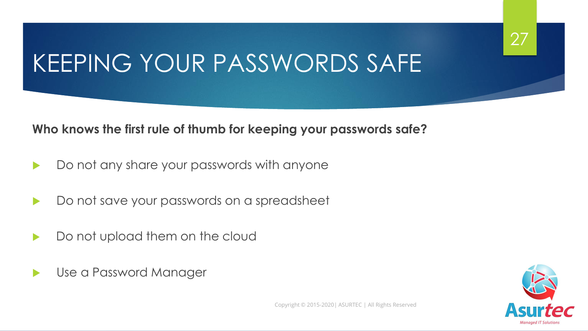## KEEPING YOUR PASSWORDS SAFE

#### **Who knows the first rule of thumb for keeping your passwords safe?**

- Do not any share your passwords with anyone
- Do not save your passwords on a spreadsheet
- Do not upload them on the cloud
- Use a Password Manager



27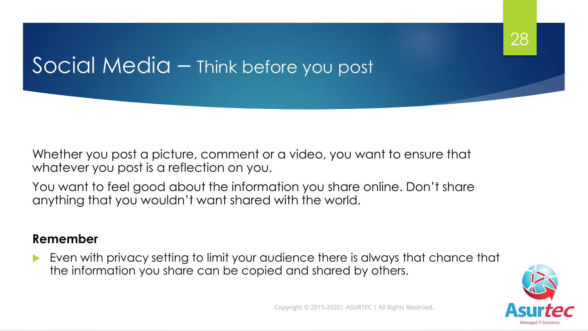### Social Media – Think before you post

Whether you post a picture, comment or a video, you want to ensure that whatever you post is a reflection on you.

You want to feel good about the information you share online. Don't share anything that you wouldn't want shared with the world.

#### **Remember**

 Even with privacy setting to limit your audience there is always that chance that the information you share can be copied and shared by others.



28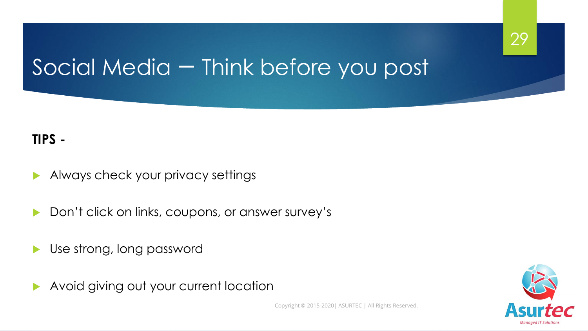## Social Media – Think before you post

### **TIPS -**

- Always check your privacy settings
- Don't click on links, coupons, or answer survey's
- Use strong, long password
- Avoid giving out your current location

Copyright © 2015-2020| ASURTEC | All Rights Reserved.

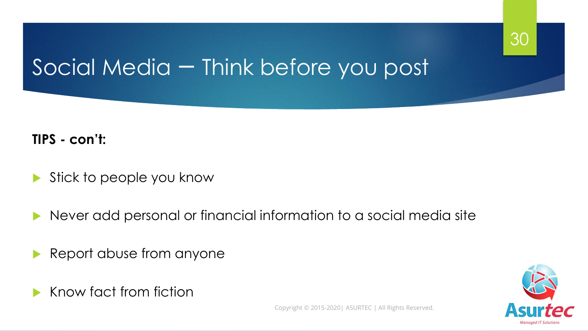### Social Media – Think before you post

### **TIPS - con't:**

- Stick to people you know
- Never add personal or financial information to a social media site
- Report abuse from anyone
- Know fact from fiction



30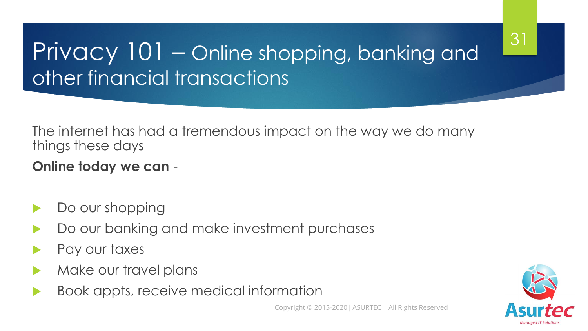## Privacy 101 – Online shopping, banking and other financial transactions

The internet has had a tremendous impact on the way we do many things these days

### **Online today we can** -

- Do our shopping
- Do our banking and make investment purchases
- Pay our taxes
- Make our travel plans
- Book appts, receive medical information

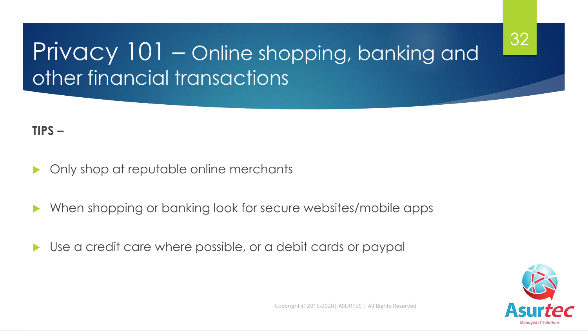### 32

### Privacy 101 - Online shopping, banking and other financial transactions

#### **TIPS –**

- Only shop at reputable online merchants
- When shopping or banking look for secure websites/mobile apps
- Use a credit care where possible, or a debit cards or paypal

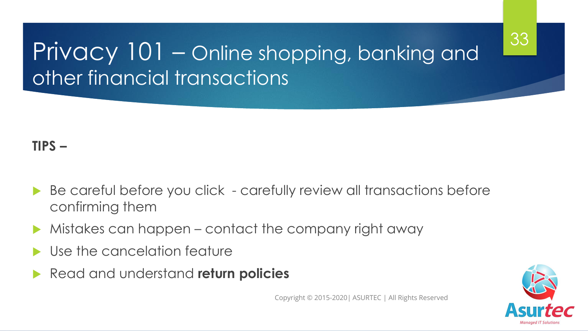### Privacy 101 – Online shopping, banking and other financial transactions

### **TIPS –**

- Be careful before you click - carefully review all transactions before confirming them
- Mistakes can happen contact the company right away
- Use the cancelation feature
- Read and understand **return policies**



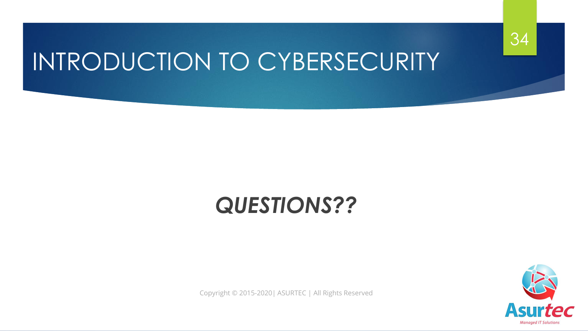

## INTRODUCTION TO CYBERSECURITY

### *QUESTIONS??*

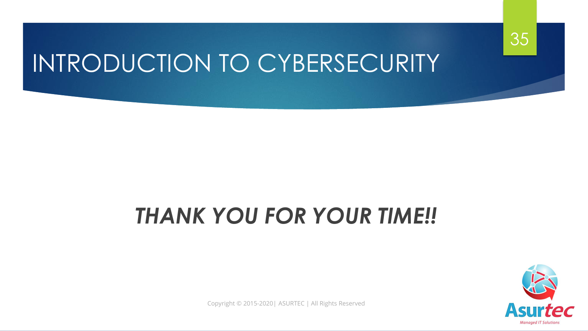

## *THANK YOU FOR YOUR TIME!!*



35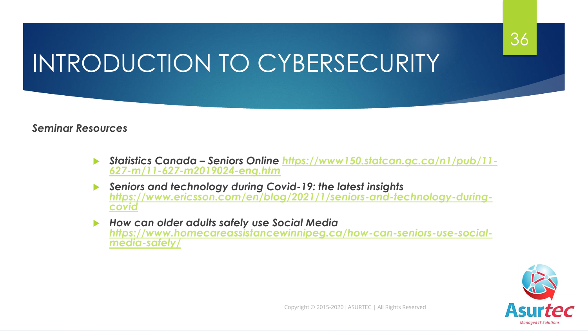### 36

## INTRODUCTION TO CYBERSECURITY

#### *Seminar Resources*

- *Statistics Canada – [Seniors Online https://www150.statcan.gc.ca/n1/pub/11-](https://www150.statcan.gc.ca/n1/pub/11-627-m/11-627-m2019024-eng.htm) 627-m/11-627-m2019024-eng.htm*
- *Seniors and technology during Covid-19: the latest insights [https://www.ericsson.com/en/blog/2021/1/seniors-and-technology-during](https://www.ericsson.com/en/blog/2021/1/seniors-and-technology-during-covid)covid*
- *How can older adults safely use Social Media [https://www.homecareassistancewinnipeg.ca/how-can-seniors-use-social](https://www.homecareassistancewinnipeg.ca/how-can-seniors-use-social-media-safely/)media-safely/*